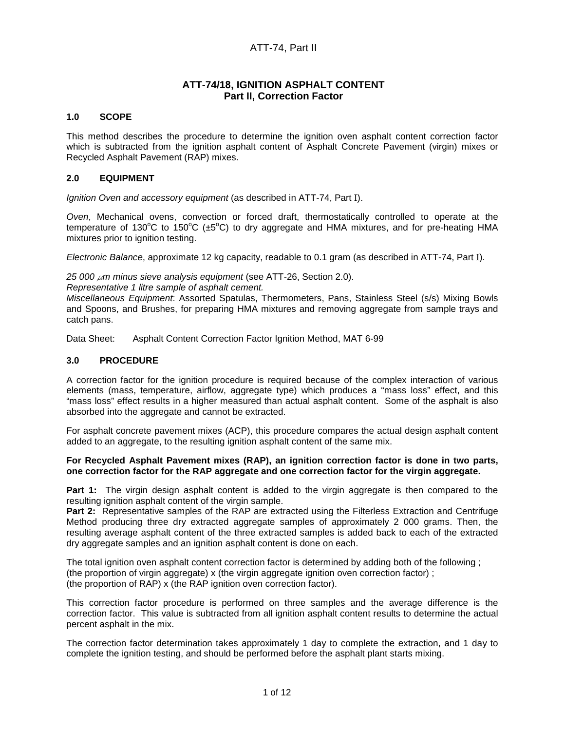# ATT-74, Part II

# **ATT-74/18, IGNITION ASPHALT CONTENT Part II, Correction Factor**

#### **1.0 SCOPE**

This method describes the procedure to determine the ignition oven asphalt content correction factor which is subtracted from the ignition asphalt content of Asphalt Concrete Pavement (virgin) mixes or Recycled Asphalt Pavement (RAP) mixes.

#### **2.0 EQUIPMENT**

Ignition Oven and accessory equipment (as described in ATT-74, Part I).

Oven, Mechanical ovens, convection or forced draft, thermostatically controlled to operate at the temperature of 130°C to 150°C ( $\pm$ 5°C) to dry aggregate and HMA mixtures, and for pre-heating HMA mixtures prior to ignition testing.

Electronic Balance, approximate 12 kg capacity, readable to 0.1 gram (as described in ATT-74, Part I).

25 000  $\mu$ m minus sieve analysis equipment (see ATT-26, Section 2.0).

Representative 1 litre sample of asphalt cement.

Miscellaneous Equipment: Assorted Spatulas, Thermometers, Pans, Stainless Steel (s/s) Mixing Bowls and Spoons, and Brushes, for preparing HMA mixtures and removing aggregate from sample trays and catch pans.

Data Sheet: Asphalt Content Correction Factor Ignition Method, MAT 6-99

#### **3.0 PROCEDURE**

A correction factor for the ignition procedure is required because of the complex interaction of various elements (mass, temperature, airflow, aggregate type) which produces a "mass loss" effect, and this "mass loss" effect results in a higher measured than actual asphalt content. Some of the asphalt is also absorbed into the aggregate and cannot be extracted.

For asphalt concrete pavement mixes (ACP), this procedure compares the actual design asphalt content added to an aggregate, to the resulting ignition asphalt content of the same mix.

#### **For Recycled Asphalt Pavement mixes (RAP), an ignition correction factor is done in two parts, one correction factor for the RAP aggregate and one correction factor for the virgin aggregate.**

**Part 1:** The virgin design asphalt content is added to the virgin aggregate is then compared to the resulting ignition asphalt content of the virgin sample.

**Part 2:** Representative samples of the RAP are extracted using the Filterless Extraction and Centrifuge Method producing three dry extracted aggregate samples of approximately 2 000 grams. Then, the resulting average asphalt content of the three extracted samples is added back to each of the extracted dry aggregate samples and an ignition asphalt content is done on each.

The total ignition oven asphalt content correction factor is determined by adding both of the following ; (the proportion of virgin aggregate) x (the virgin aggregate ignition oven correction factor) ; (the proportion of RAP) x (the RAP ignition oven correction factor).

This correction factor procedure is performed on three samples and the average difference is the correction factor. This value is subtracted from all ignition asphalt content results to determine the actual percent asphalt in the mix.

The correction factor determination takes approximately 1 day to complete the extraction, and 1 day to complete the ignition testing, and should be performed before the asphalt plant starts mixing.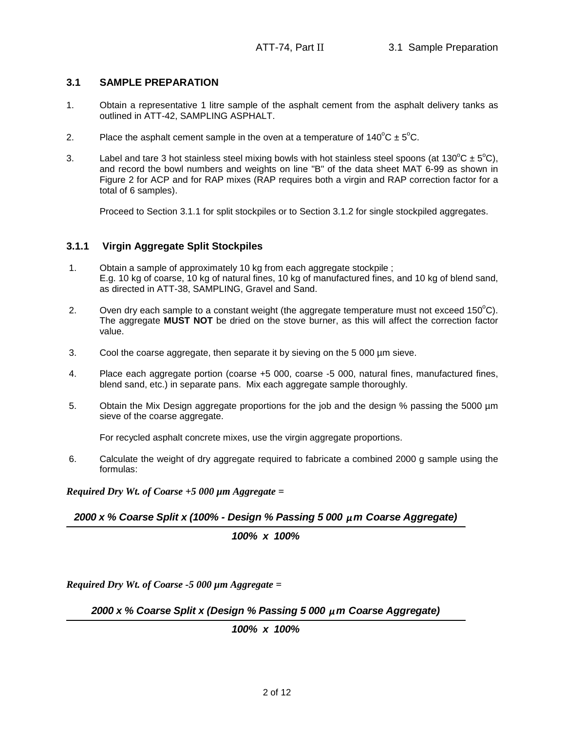## **3.1 SAMPLE PREPARATION**

- 1. Obtain a representative 1 litre sample of the asphalt cement from the asphalt delivery tanks as outlined in ATT-42, SAMPLING ASPHALT.
- 2. Place the asphalt cement sample in the oven at a temperature of  $140^{\circ}C \pm 5^{\circ}C$ .
- 3. Label and tare 3 hot stainless steel mixing bowls with hot stainless steel spoons (at 130°C  $\pm$  5°C), and record the bowl numbers and weights on line "B" of the data sheet MAT 6-99 as shown in Figure 2 for ACP and for RAP mixes (RAP requires both a virgin and RAP correction factor for a total of 6 samples).

Proceed to Section 3.1.1 for split stockpiles or to Section 3.1.2 for single stockpiled aggregates.

## **3.1.1 Virgin Aggregate Split Stockpiles**

- 1. Obtain a sample of approximately 10 kg from each aggregate stockpile ; E.g. 10 kg of coarse, 10 kg of natural fines, 10 kg of manufactured fines, and 10 kg of blend sand, as directed in ATT-38, SAMPLING, Gravel and Sand.
- 2. Oven dry each sample to a constant weight (the aggregate temperature must not exceed  $150^{\circ}$ C). The aggregate **MUST NOT** be dried on the stove burner, as this will affect the correction factor value.
- 3. Cool the coarse aggregate, then separate it by sieving on the 5 000 µm sieve.
- 4. Place each aggregate portion (coarse +5 000, coarse -5 000, natural fines, manufactured fines, blend sand, etc.) in separate pans. Mix each aggregate sample thoroughly.
- 5. Obtain the Mix Design aggregate proportions for the job and the design % passing the 5000 µm sieve of the coarse aggregate.

For recycled asphalt concrete mixes, use the virgin aggregate proportions.

6. Calculate the weight of dry aggregate required to fabricate a combined 2000 g sample using the formulas:

*Required Dry Wt. of Coarse +5 000 µm Aggregate =* 

**2000 x % Coarse Split x (100% - Design % Passing 5 000** *µ***m Coarse Aggregate)**

**100% x 100%**

*Required Dry Wt. of Coarse -5 000 µm Aggregate =* 

**2000 x % Coarse Split x (Design % Passing 5 000** *µ***m Coarse Aggregate)**

**100% x 100%**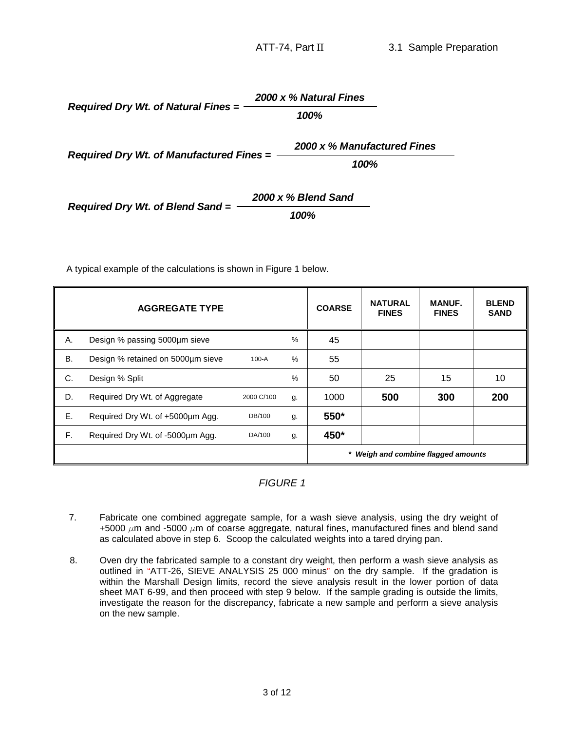**100% Required Dry Wt. of Natural Fines = 2000 x % Natural Fines**

**Required Dry Wt. of Manufactured Fines =** 

**2000 x % Manufactured Fines**

**100%**

**2000 x % Blend Sand 100% Required Dry Wt. of Blend Sand =** 

A typical example of the calculations is shown in Figure 1 below.

|    | <b>AGGREGATE TYPE</b>             |            |      | <b>COARSE</b> | <b>NATURAL</b><br><b>FINES</b>      | <b>MANUF.</b><br><b>FINES</b> | <b>BLEND</b><br><b>SAND</b> |
|----|-----------------------------------|------------|------|---------------|-------------------------------------|-------------------------------|-----------------------------|
| Α. | Design % passing 5000µm sieve     |            | %    | 45            |                                     |                               |                             |
| В. | Design % retained on 5000um sieve | $100-A$    | $\%$ | 55            |                                     |                               |                             |
| C. | Design % Split                    |            | %    | 50            | 25                                  | 15                            | 10                          |
| D. | Required Dry Wt. of Aggregate     | 2000 C/100 | g.   | 1000          | 500                                 | 300                           | 200                         |
| Ε. | Required Dry Wt. of +5000um Agg.  | DB/100     | g.   | 550*          |                                     |                               |                             |
| F. | Required Dry Wt. of -5000um Agg.  | DA/100     | g.   | 450*          |                                     |                               |                             |
|    |                                   |            |      |               | * Weigh and combine flagged amounts |                               |                             |

FIGURE 1

- 7. Fabricate one combined aggregate sample, for a wash sieve analysis, using the dry weight of +5000  $\mu$ m and -5000  $\mu$ m of coarse aggregate, natural fines, manufactured fines and blend sand as calculated above in step 6. Scoop the calculated weights into a tared drying pan.
- 8. Oven dry the fabricated sample to a constant dry weight, then perform a wash sieve analysis as outlined in "ATT-26, SIEVE ANALYSIS 25 000 minus" on the dry sample. If the gradation is within the Marshall Design limits, record the sieve analysis result in the lower portion of data sheet MAT 6-99, and then proceed with step 9 below. If the sample grading is outside the limits, investigate the reason for the discrepancy, fabricate a new sample and perform a sieve analysis on the new sample.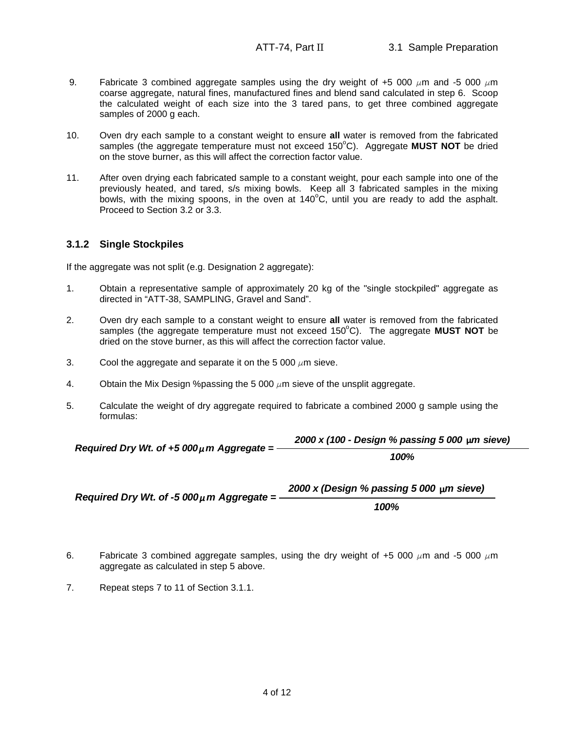- 9. Fabricate 3 combined aggregate samples using the dry weight of +5 000  $\mu$ m and -5 000  $\mu$ m coarse aggregate, natural fines, manufactured fines and blend sand calculated in step 6. Scoop the calculated weight of each size into the 3 tared pans, to get three combined aggregate samples of 2000 g each.
- 10. Oven dry each sample to a constant weight to ensure **all** water is removed from the fabricated samples (the aggregate temperature must not exceed 150°C). Aggregate **MUST NOT** be dried on the stove burner, as this will affect the correction factor value.
- 11. After oven drying each fabricated sample to a constant weight, pour each sample into one of the previously heated, and tared, s/s mixing bowls. Keep all 3 fabricated samples in the mixing bowls, with the mixing spoons, in the oven at  $140^{\circ}$ C, until you are ready to add the asphalt. Proceed to Section 3.2 or 3.3.

# **3.1.2 Single Stockpiles**

If the aggregate was not split (e.g. Designation 2 aggregate):

- 1. Obtain a representative sample of approximately 20 kg of the "single stockpiled" aggregate as directed in "ATT-38, SAMPLING, Gravel and Sand".
- 2. Oven dry each sample to a constant weight to ensure **all** water is removed from the fabricated samples (the aggregate temperature must not exceed 150°C). The aggregate MUST NOT be dried on the stove burner, as this will affect the correction factor value.
- 3. Cool the aggregate and separate it on the 5 000  $\mu$ m sieve.
- 4. Obtain the Mix Design %passing the 5 000  $\mu$ m sieve of the unsplit aggregate.
- 5. Calculate the weight of dry aggregate required to fabricate a combined 2000 g sample using the formulas:

 $Required Dry Wt. of +5 000<sub>\mu</sub> m Aggregate =$ **2000 x (100 - Design % passing 5 000 µm sieve) 100%**

Required Dry Wt. of  $-5000 \mu$  m Aggregate = **2000 x (Design % passing 5 000 µm sieve) 100%**

- 6. Fabricate 3 combined aggregate samples, using the dry weight of +5 000  $\mu$ m and -5 000  $\mu$ m aggregate as calculated in step 5 above.
- 7. Repeat steps 7 to 11 of Section 3.1.1.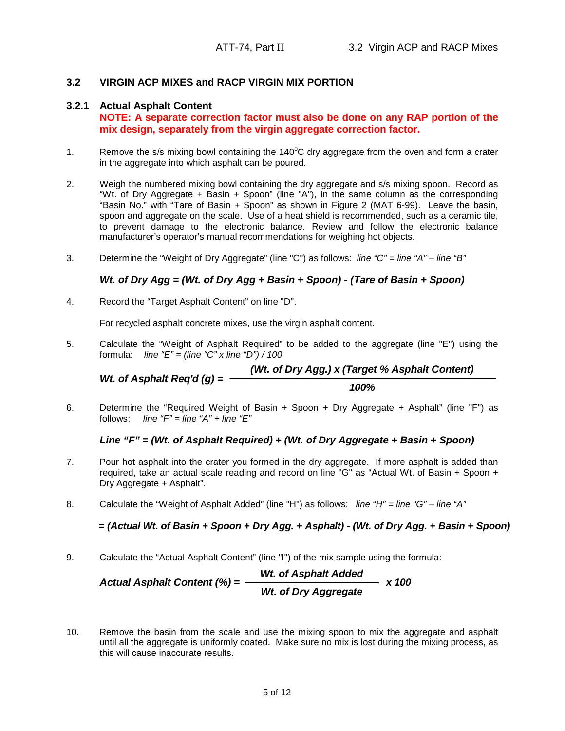## **3.2 VIRGIN ACP MIXES and RACP VIRGIN MIX PORTION**

#### **3.2.1 Actual Asphalt Content**

**NOTE: A separate correction factor must also be done on any RAP portion of the mix design, separately from the virgin aggregate correction factor.**

- 1. Remove the s/s mixing bowl containing the  $140^{\circ}$ C dry aggregate from the oven and form a crater in the aggregate into which asphalt can be poured.
- 2. Weigh the numbered mixing bowl containing the dry aggregate and s/s mixing spoon. Record as "Wt. of Dry Aggregate + Basin + Spoon" (line "A"), in the same column as the corresponding "Basin No." with "Tare of Basin + Spoon" as shown in Figure 2 (MAT 6-99). Leave the basin, spoon and aggregate on the scale. Use of a heat shield is recommended, such as a ceramic tile, to prevent damage to the electronic balance. Review and follow the electronic balance manufacturer's operator's manual recommendations for weighing hot objects.
- 3. Determine the "Weight of Dry Aggregate" (line "C") as follows: line "C" = line "A" line "B"

# **Wt. of Dry Agg = (Wt. of Dry Agg + Basin + Spoon) - (Tare of Basin + Spoon)**

4. Record the "Target Asphalt Content" on line "D".

For recycled asphalt concrete mixes, use the virgin asphalt content.

5. Calculate the "Weight of Asphalt Required" to be added to the aggregate (line "E") using the formula: line " $E$ " = (line "C" x line "D") / 100

**100% Wt. of Asphalt Req'd (g) = (Wt. of Dry Agg.) x (Target % Asphalt Content)**

6. Determine the "Required Weight of Basin + Spoon + Dry Aggregate + Asphalt" (line "F") as follows: line " $F$ " = line " $A$ " + line " $E$ "

## **Line "F" = (Wt. of Asphalt Required) + (Wt. of Dry Aggregate + Basin + Spoon)**

- 7. Pour hot asphalt into the crater you formed in the dry aggregate. If more asphalt is added than required, take an actual scale reading and record on line "G" as "Actual Wt. of Basin + Spoon + Dry Aggregate + Asphalt".
- 8. Calculate the "Weight of Asphalt Added" (line "H") as follows: line "H" = line "G" line "A"

**= (Actual Wt. of Basin + Spoon + Dry Agg. + Asphalt) - (Wt. of Dry Agg. + Basin + Spoon)**

9. Calculate the "Actual Asphalt Content" (line "I") of the mix sample using the formula:

Actual Asphalt Content (%) = 
$$
\frac{Wt. \text{ of Asphalt added}}{Wt. \text{ of Dry Aggregate}} \times 100
$$

10. Remove the basin from the scale and use the mixing spoon to mix the aggregate and asphalt until all the aggregate is uniformly coated. Make sure no mix is lost during the mixing process, as this will cause inaccurate results.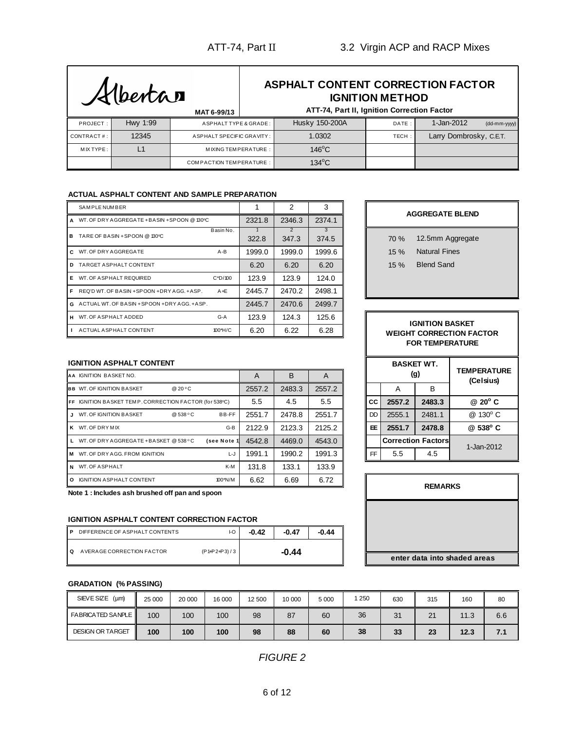# **ASPHALT CONTENT CORRECTION FACTOR IGNITION METHOD**

|            |          | MAT 6-99/13                    | ATT-74, Part II, Ignition Correction Factor |       |                            |
|------------|----------|--------------------------------|---------------------------------------------|-------|----------------------------|
| PROJECT:   | Hwy 1:99 | ASPHALT TYPE & GRADE:          | Husky 150-200A                              | DATE: | 1-Jan-2012<br>(dd-mm-yyyy) |
| CONTRACT#: | 12345    | ASPHALT SPECIFIC GRAVITY: I    | 1.0302                                      | TECH: | Larry Dombrosky, C.E.T.    |
| MIX TYPE:  |          | MIXING TEMPERATURE:            | $146^{\circ}$ C                             |       |                            |
|            |          | <b>COMPACTION TEMPERATURE:</b> | $134^{\circ}$ C                             |       |                            |

#### **ACTUAL ASPHALT CONTENT AND SAMPLE PREPARATION**

|    | SAM PLE NUMBER                                  |            |        | 2          | 3          |       |
|----|-------------------------------------------------|------------|--------|------------|------------|-------|
|    | A WT. OF DRY AGGREGATE + BASIN + SPOON @ 130°C  |            | 2321.8 | 2346.3     | 2374.1     |       |
| в. | TARE OF BASIN + SPOON @ 130°C                   | Basin No.  | 322.8  | 2<br>347.3 | 3<br>374.5 | 70 %  |
|    | C WT. OF DRY AGGREGATE                          | $A - B$    | 1999.0 | 1999.0     | 1999.6     | 15 %  |
| D. | TARGET ASPHALT CONTENT                          |            | 6.20   | 6.20       | 6.20       | 15 %  |
| Е. | WT. OF A SPHALT REQUIRED                        | $C^*D/100$ | 123.9  | 123.9      | 124.0      |       |
| F. | REQ'D WT. OF BASIN +SPOON +DRY AGG. +ASP.       | $A + E$    | 2445.7 | 2470.2     | 2498.1     |       |
|    | G ACTUAL WT. OF BASIN + SPOON + DRY AGG. + ASP. |            | 2445.7 | 2470.6     | 2499.7     |       |
|    | H WT. OF A SPHALT ADDED                         | $G-A$      | 123.9  | 124.3      | 125.6      |       |
|    | ACTUAL ASPHALT CONTENT                          | 100*H/C    | 6.20   | 6.22       | 6.28       | WEIGI |

**AA** IGNITION BASKET NO. A A B A

**FF** IGNITION BASKET TEMP. CORRECTION FACTOR (for 538°C)  $\begin{bmatrix} 5.5 \\ 5.5 \end{bmatrix}$  4.5  $\begin{bmatrix} 5.5 \\ 4.5 \end{bmatrix}$  5.5

**K** WT. OF DRY MIX **EARLY C-B C-B 2122.9** 2123.3 2125.2

**M** WT. OF DRY AGG. FROM IGNITION L-J 1991.1 1990.2 1991.3 **N** WT. OF ASPHALT **K-M** 131.8 133.1 133.9 **O** IGNITION ASPHALT CONTENT 100\*N/M 6.62 6.69 6.72

**P** DIFFERENCE OF ASPHALT CONTENTS **1-0.42** -0.47 -0.44

| <b>AGGREGATE BLEND</b> |                                                               |  |  |  |  |  |  |
|------------------------|---------------------------------------------------------------|--|--|--|--|--|--|
| 70 %<br>15%<br>15%     | 12.5mm Aggregate<br><b>Natural Fines</b><br><b>Blend Sand</b> |  |  |  |  |  |  |

#### **IGNITION BASKET WEIGHT CORRECTION FACTOR FOR TEMPERATURE**

|                  |        |        |        |  |     |                           | <b>BASKET WT.</b> |                                 |  |  |
|------------------|--------|--------|--------|--|-----|---------------------------|-------------------|---------------------------------|--|--|
|                  | A      | B      | A      |  | (g) |                           |                   | <b>TEMPERATURE</b><br>(Celsius) |  |  |
|                  | 2557.2 | 2483.3 | 2557.2 |  |     | Α                         | B                 |                                 |  |  |
| CTOR (for 538°C) | 5.5    | 4.5    | 5.5    |  | СC  | 2557.2                    | 2483.3            | @ 20° C                         |  |  |
| C<br>BB-FF       | 2551.7 | 2478.8 | 2551.7 |  | DD  | 2555.1                    | 2481.1            | @ 130° C                        |  |  |
| $G-B$            | 2122.9 | 2123.3 | 2125.2 |  | EE. | 2551.7                    | 2478.8            | @ 538°C                         |  |  |
| C<br>(see Note 1 | 4542.8 | 4469.0 | 4543.0 |  |     | <b>Correction Factors</b> |                   | 1-Jan-2012                      |  |  |
| L-J              | 1991.1 | 1990.2 | 1991.3 |  | FF. | 5.5                       | 4.5               |                                 |  |  |

| <b>REMARKS</b>               |
|------------------------------|
|                              |
|                              |
| enter data into shaded areas |

#### **GRADATION (% PASSING)**

**IGNITION ASPHALT CONTENT**

**BB** WT. OF IGNITION BASKET @ 20 °C

**J** WT. OF IGNITION BASKET @ 538 °C

L WT. OF DRY AGGREGATE + BASKET @ 538 °C

**Note 1 : Includes ash brushed off pan and spoon**

**IGNITION ASPHALT CONTENT CORRECTION FACTOR**

**Q** AVERAGE CORRECTION FACTOR (P1+P2+P3) / 3

| SIEVE SIZE<br>(um)       | 25 000 | 20 000 | 16 000 | 12 500 | 10 000 | 5 0 0 0 | 250 | 630     | 315 | 160  | 80  |
|--------------------------|--------|--------|--------|--------|--------|---------|-----|---------|-----|------|-----|
| <b>FABRICATED SANPLE</b> | 100    | 100    | 100    | 98     | 87     | 60      | 36  | 31<br>ັ | 21  | 11.3 | 6.6 |
| <b>DESIGN OR TARGET</b>  | 100    | 100    | 100    | 98     | 88     | 60      | 38  | 33      | 23  | 12.3 | 7.1 |

**-0.44**

FIGURE 2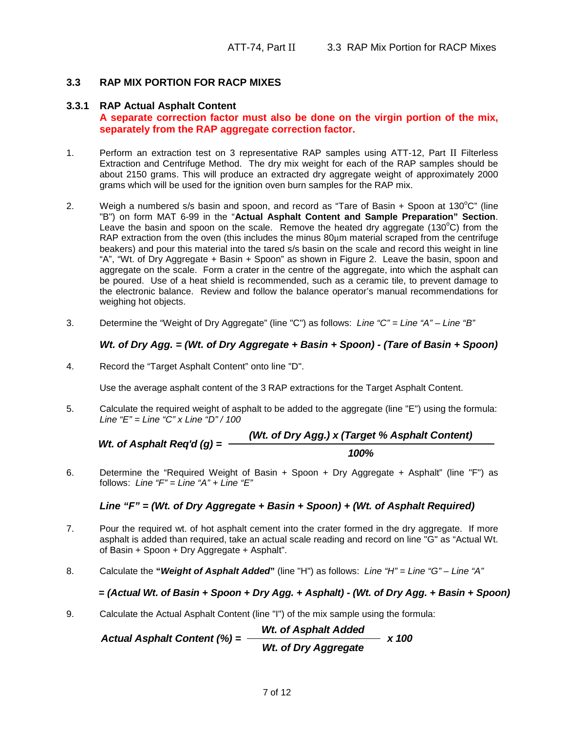# **3.3 RAP MIX PORTION FOR RACP MIXES**

## **3.3.1 RAP Actual Asphalt Content**

## **A separate correction factor must also be done on the virgin portion of the mix, separately from the RAP aggregate correction factor.**

- 1. Perform an extraction test on 3 representative RAP samples using ATT-12, Part II Filterless Extraction and Centrifuge Method. The dry mix weight for each of the RAP samples should be about 2150 grams. This will produce an extracted dry aggregate weight of approximately 2000 grams which will be used for the ignition oven burn samples for the RAP mix.
- 2. Weigh a numbered s/s basin and spoon, and record as "Tare of Basin  $+$  Spoon at 130 $^{\circ}$ C" (line "B") on form MAT 6-99 in the "**Actual Asphalt Content and Sample Preparation" Section**. Leave the basin and spoon on the scale. Remove the heated dry aggregate (130 $^{\circ}$ C) from the RAP extraction from the oven (this includes the minus  $80\mu$ m material scraped from the centrifuge beakers) and pour this material into the tared s/s basin on the scale and record this weight in line "A", "Wt. of Dry Aggregate + Basin + Spoon" as shown in Figure 2. Leave the basin, spoon and aggregate on the scale. Form a crater in the centre of the aggregate, into which the asphalt can be poured. Use of a heat shield is recommended, such as a ceramic tile, to prevent damage to the electronic balance. Review and follow the balance operator's manual recommendations for weighing hot objects.
- 3. Determine the "Weight of Dry Aggregate" (line "C") as follows: Line "C" = Line "A" Line "B"

# **Wt. of Dry Agg. = (Wt. of Dry Aggregate + Basin + Spoon) - (Tare of Basin + Spoon)**

4. Record the "Target Asphalt Content" onto line "D".

Use the average asphalt content of the 3 RAP extractions for the Target Asphalt Content.

5. Calculate the required weight of asphalt to be added to the aggregate (line "E") using the formula: Line " $E$ " = Line " $C$ " x Line " $D$ " / 100

*Wt.* of Asphalt 
$$
Req'd(g) = \frac{(Wt. of Dry Agg.) \times (Target % Asphalt Content)}{100\%}
$$

6. Determine the "Required Weight of Basin + Spoon + Dry Aggregate + Asphalt" (line "F") as follows: Line " $F$ " = Line " $A$ " + Line " $E$ "

## **Line "F" = (Wt. of Dry Aggregate + Basin + Spoon) + (Wt. of Asphalt Required)**

- 7. Pour the required wt. of hot asphalt cement into the crater formed in the dry aggregate. If more asphalt is added than required, take an actual scale reading and record on line "G" as "Actual Wt. of Basin + Spoon + Dry Aggregate + Asphalt".
- 8. Calculate the **"Weight of Asphalt Added"** (line "H") as follows: Line "H" = Line "G" Line "A"

## **= (Actual Wt. of Basin + Spoon + Dry Agg. + Asphalt) - (Wt. of Dry Agg. + Basin + Spoon)**

9. Calculate the Actual Asphalt Content (line "I") of the mix sample using the formula:

**Wt. of Asphalt Added Wt. of Dry Aggregate**  $Actual Asphalt Content (%) =$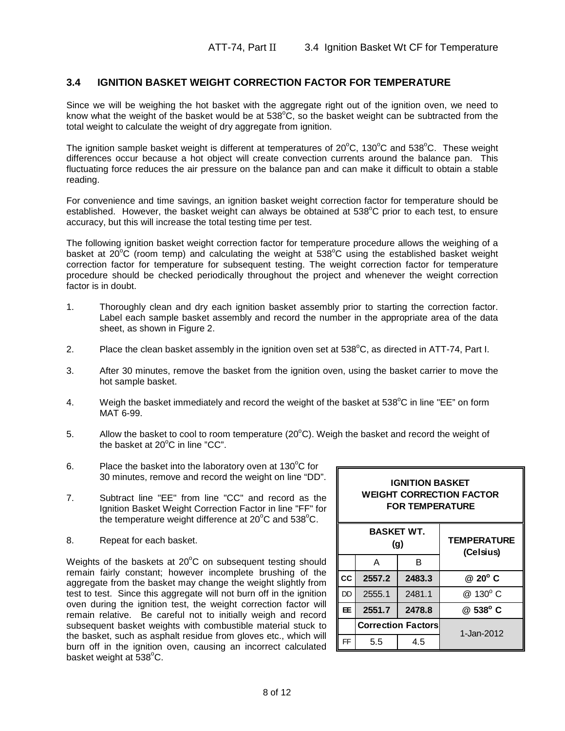# **3.4 IGNITION BASKET WEIGHT CORRECTION FACTOR FOR TEMPERATURE**

Since we will be weighing the hot basket with the aggregate right out of the ignition oven, we need to know what the weight of the basket would be at  $538^{\circ}$ C, so the basket weight can be subtracted from the total weight to calculate the weight of dry aggregate from ignition.

The ignition sample basket weight is different at temperatures of  $20^{\circ}$ C, 130 $^{\circ}$ C and 538 $^{\circ}$ C. These weight differences occur because a hot object will create convection currents around the balance pan. This fluctuating force reduces the air pressure on the balance pan and can make it difficult to obtain a stable reading.

For convenience and time savings, an ignition basket weight correction factor for temperature should be established. However, the basket weight can always be obtained at  $538^{\circ}$ C prior to each test, to ensure accuracy, but this will increase the total testing time per test.

The following ignition basket weight correction factor for temperature procedure allows the weighing of a basket at  $20^{\circ}$ C (room temp) and calculating the weight at  $538^{\circ}$ C using the established basket weight correction factor for temperature for subsequent testing. The weight correction factor for temperature procedure should be checked periodically throughout the project and whenever the weight correction factor is in doubt.

- 1. Thoroughly clean and dry each ignition basket assembly prior to starting the correction factor. Label each sample basket assembly and record the number in the appropriate area of the data sheet, as shown in Figure 2.
- 2. Place the clean basket assembly in the ignition oven set at  $538^{\circ}$ C, as directed in ATT-74, Part I.
- 3. After 30 minutes, remove the basket from the ignition oven, using the basket carrier to move the hot sample basket.
- 4. Weigh the basket immediately and record the weight of the basket at 538<sup>o</sup>C in line "EE" on form MAT 6-99.
- 5. Allow the basket to cool to room temperature  $(20^{\circ}C)$ . Weigh the basket and record the weight of the basket at  $20^{\circ}$ C in line "CC".
- 6. Place the basket into the laboratory oven at  $130^{\circ}$ C for 30 minutes, remove and record the weight on line "DD".
- 7. Subtract line "EE" from line "CC" and record as the Ignition Basket Weight Correction Factor in line "FF" for the temperature weight difference at  $20^{\circ}$ C and 538 $^{\circ}$ C.
- 8. Repeat for each basket.

Weights of the baskets at  $20^{\circ}$ C on subsequent testing should remain fairly constant; however incomplete brushing of the aggregate from the basket may change the weight slightly from test to test. Since this aggregate will not burn off in the ignition oven during the ignition test, the weight correction factor will remain relative. Be careful not to initially weigh and record subsequent basket weights with combustible material stuck to the basket, such as asphalt residue from gloves etc., which will burn off in the ignition oven, causing an incorrect calculated basket weight at  $538^{\circ}$ C.

| <b>WEIGHT CORRECTION FACTOR</b><br><b>FOR TEMPERATURE</b> |                   |                           |                                 |  |  |  |  |
|-----------------------------------------------------------|-------------------|---------------------------|---------------------------------|--|--|--|--|
|                                                           | <b>BASKET WT.</b> | (g)                       | <b>TEMPERATURE</b><br>(Celsius) |  |  |  |  |
|                                                           | A                 | в                         |                                 |  |  |  |  |
| cc                                                        | 2557.2            | 2483.3                    | @ 20° C                         |  |  |  |  |
| DD                                                        | 2555.1            | 2481.1                    | @ 130° C                        |  |  |  |  |
| Œ                                                         | 2551.7            | 2478.8                    | @ 538° C                        |  |  |  |  |
|                                                           |                   | <b>Correction Factors</b> | 1-Jan-2012                      |  |  |  |  |
| FF                                                        | 5.5               | 4.5                       |                                 |  |  |  |  |

**IGNITION BASKET**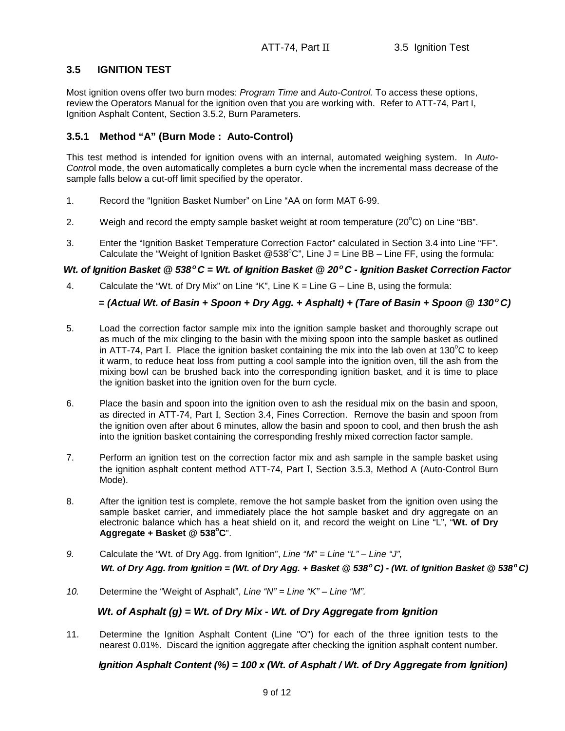# **3.5 IGNITION TEST**

Most ignition ovens offer two burn modes: Program Time and Auto-Control. To access these options, review the Operators Manual for the ignition oven that you are working with. Refer to ATT-74, Part I, Ignition Asphalt Content, Section 3.5.2, Burn Parameters.

# **3.5.1 Method "A" (Burn Mode : Auto-Control)**

This test method is intended for ignition ovens with an internal, automated weighing system. In Auto-Control mode, the oven automatically completes a burn cycle when the incremental mass decrease of the sample falls below a cut-off limit specified by the operator.

- 1. Record the "Ignition Basket Number" on Line "AA on form MAT 6-99.
- 2. Weigh and record the empty sample basket weight at room temperature  $(20^{\circ}C)$  on Line "BB".
- 3. Enter the "Ignition Basket Temperature Correction Factor" calculated in Section 3.4 into Line "FF". Calculate the "Weight of Ignition Basket @538°C", Line  $J =$  Line BB - Line FF, using the formula:

# **Wt. of Ignition Basket @ 538<sup>o</sup>C = Wt. of Ignition Basket @ 20<sup>o</sup>C - Ignition Basket Correction Factor**

4. Calculate the "Wt. of Dry Mix" on Line "K", Line K = Line G – Line B, using the formula:

# **= (Actual Wt. of Basin + Spoon + Dry Agg. + Asphalt) + (Tare of Basin + Spoon @ 130<sup>o</sup>C)**

- 5. Load the correction factor sample mix into the ignition sample basket and thoroughly scrape out as much of the mix clinging to the basin with the mixing spoon into the sample basket as outlined in ATT-74, Part I. Place the ignition basket containing the mix into the lab oven at  $130^{\circ}$ C to keep it warm, to reduce heat loss from putting a cool sample into the ignition oven, till the ash from the mixing bowl can be brushed back into the corresponding ignition basket, and it is time to place the ignition basket into the ignition oven for the burn cycle.
- 6. Place the basin and spoon into the ignition oven to ash the residual mix on the basin and spoon, as directed in ATT-74, Part I, Section 3.4, Fines Correction. Remove the basin and spoon from the ignition oven after about 6 minutes, allow the basin and spoon to cool, and then brush the ash into the ignition basket containing the corresponding freshly mixed correction factor sample.
- 7. Perform an ignition test on the correction factor mix and ash sample in the sample basket using the ignition asphalt content method ATT-74, Part I, Section 3.5.3, Method A (Auto-Control Burn Mode).
- 8. After the ignition test is complete, remove the hot sample basket from the ignition oven using the sample basket carrier, and immediately place the hot sample basket and dry aggregate on an electronic balance which has a heat shield on it, and record the weight on Line "L", "**Wt. of Dry Aggregate + Basket @ 538<sup>o</sup>C**".
- 9. Calculate the "Wt. of Dry Agg. from Ignition", Line " $M'' =$  Line "L" Line "J", **Wt. of Dry Agg. from Ignition = (Wt. of Dry Agg. + Basket @ 538<sup>o</sup>C) - (Wt. of Ignition Basket @ 538<sup>o</sup>C)**
- 10. Determine the "Weight of Asphalt", Line "N" = Line "K" Line "M".

# **Wt. of Asphalt (g) = Wt. of Dry Mix - Wt. of Dry Aggregate from Ignition**

11. Determine the Ignition Asphalt Content (Line "O") for each of the three ignition tests to the nearest 0.01%. Discard the ignition aggregate after checking the ignition asphalt content number.

# **Ignition Asphalt Content (%) = 100 x (Wt. of Asphalt / Wt. of Dry Aggregate from Ignition)**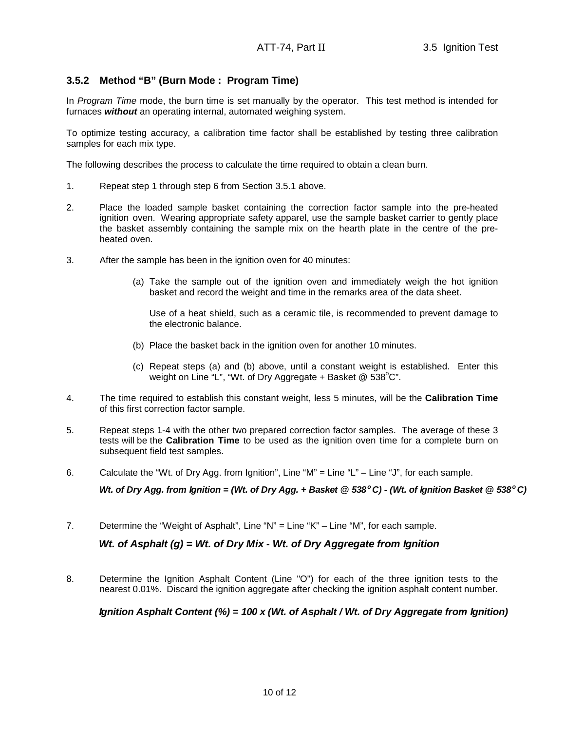# **3.5.2 Method "B" (Burn Mode : Program Time)**

In Program Time mode, the burn time is set manually by the operator. This test method is intended for furnaces **without** an operating internal, automated weighing system.

To optimize testing accuracy, a calibration time factor shall be established by testing three calibration samples for each mix type.

The following describes the process to calculate the time required to obtain a clean burn.

- 1. Repeat step 1 through step 6 from Section 3.5.1 above.
- 2. Place the loaded sample basket containing the correction factor sample into the pre-heated ignition oven. Wearing appropriate safety apparel, use the sample basket carrier to gently place the basket assembly containing the sample mix on the hearth plate in the centre of the pre heated oven.
- 3. After the sample has been in the ignition oven for 40 minutes:
	- (a) Take the sample out of the ignition oven and immediately weigh the hot ignition basket and record the weight and time in the remarks area of the data sheet.

Use of a heat shield, such as a ceramic tile, is recommended to prevent damage to the electronic balance.

- (b) Place the basket back in the ignition oven for another 10 minutes.
- (c) Repeat steps (a) and (b) above, until a constant weight is established. Enter this weight on Line "L", "Wt. of Dry Aggregate + Basket  $@$  538 $^{\circ}$ C".
- 4. The time required to establish this constant weight, less 5 minutes, will be the **Calibration Time** of this first correction factor sample.
- 5. Repeat steps 1-4 with the other two prepared correction factor samples. The average of these 3 tests will be the **Calibration Time** to be used as the ignition oven time for a complete burn on subsequent field test samples.
- 6. Calculate the "Wt. of Dry Agg. from Ignition", Line "M" = Line "L" Line "J", for each sample.

**Wt. of Dry Agg. from Ignition = (Wt. of Dry Agg. + Basket @ 538<sup>o</sup>C) - (Wt. of Ignition Basket @ 538<sup>o</sup>C)**

7. Determine the "Weight of Asphalt", Line "N" = Line "K" – Line "M", for each sample.

## **Wt. of Asphalt (g) = Wt. of Dry Mix - Wt. of Dry Aggregate from Ignition**

8. Determine the Ignition Asphalt Content (Line "O") for each of the three ignition tests to the nearest 0.01%. Discard the ignition aggregate after checking the ignition asphalt content number.

## **Ignition Asphalt Content (%) = 100 x (Wt. of Asphalt / Wt. of Dry Aggregate from Ignition)**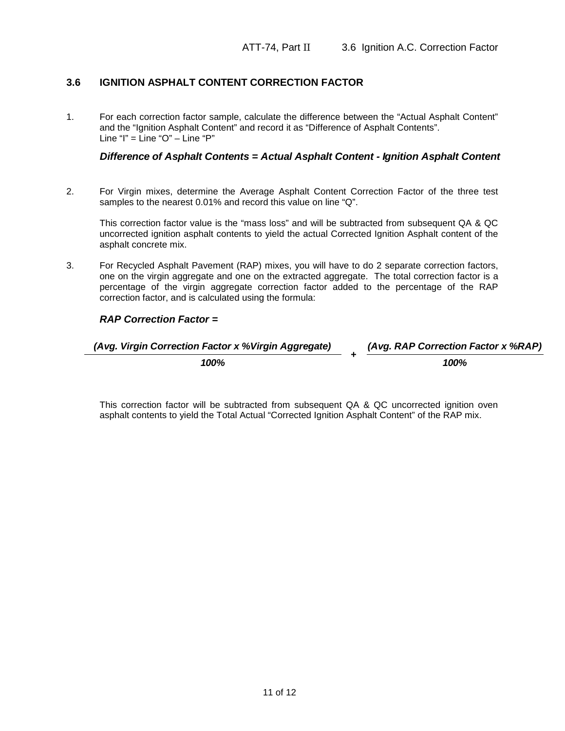# **3.6 IGNITION ASPHALT CONTENT CORRECTION FACTOR**

1. For each correction factor sample, calculate the difference between the "Actual Asphalt Content" and the "Ignition Asphalt Content" and record it as "Difference of Asphalt Contents". Line "I" =  $\text{Line}}$  "O"  $\text{-}$  Line "P"

#### **Difference of Asphalt Contents = Actual Asphalt Content - Ignition Asphalt Content**

2. For Virgin mixes, determine the Average Asphalt Content Correction Factor of the three test samples to the nearest 0.01% and record this value on line "Q".

This correction factor value is the "mass loss" and will be subtracted from subsequent QA & QC uncorrected ignition asphalt contents to yield the actual Corrected Ignition Asphalt content of the asphalt concrete mix.

3. For Recycled Asphalt Pavement (RAP) mixes, you will have to do 2 separate correction factors, one on the virgin aggregate and one on the extracted aggregate. The total correction factor is a percentage of the virgin aggregate correction factor added to the percentage of the RAP correction factor, and is calculated using the formula:

## **RAP Correction Factor =**

| (Avg. Virgin Correction Factor x % Virgin Aggregate) | (Avg. RAP Correction Factor x %RAP) |
|------------------------------------------------------|-------------------------------------|
| 100%                                                 | 100%                                |

This correction factor will be subtracted from subsequent QA & QC uncorrected ignition oven asphalt contents to yield the Total Actual "Corrected Ignition Asphalt Content" of the RAP mix.